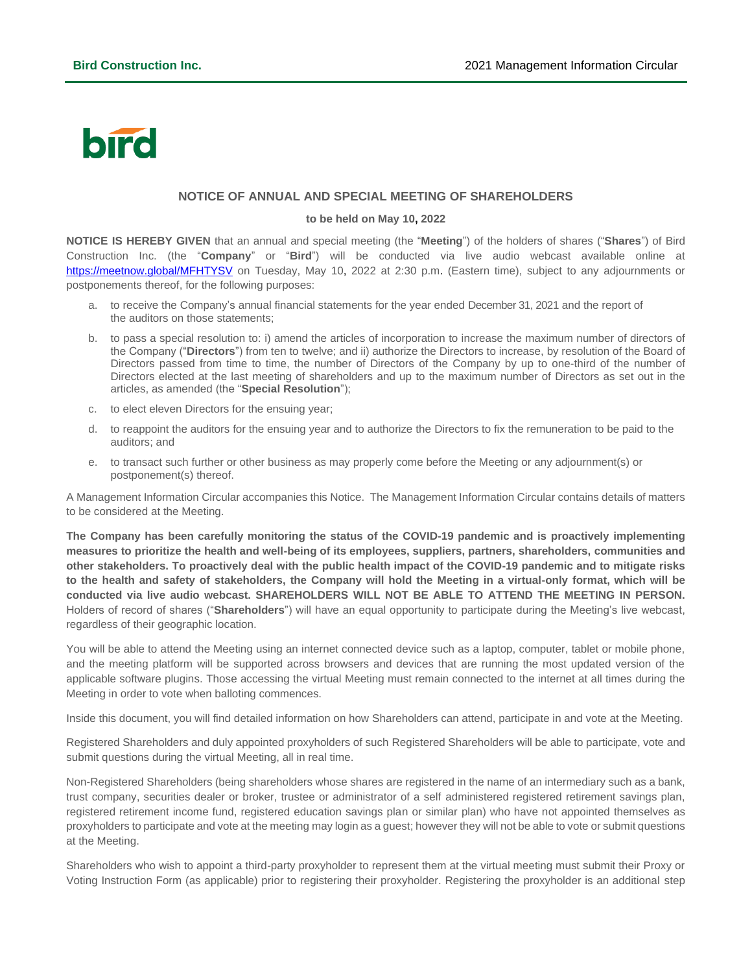## bird

## **NOTICE OF ANNUAL AND SPECIAL MEETING OF SHAREHOLDERS**

## **to be held on May 10, 2022**

**NOTICE IS HEREBY GIVEN** that an annual and special meeting (the "**Meeting**") of the holders of shares ("**Shares**") of Bird Construction Inc. (the "**Company**" or "**Bird**") will be conducted via live audio webcast available online at [https://meetnow.global/MFHTYSV](https://can01.safelinks.protection.outlook.com/?url=https%3A%2F%2Fmeetnow.global%2FMFHTYSV&data=04%7C01%7CTess.Lofsky%40bird.ca%7Cfc370a64098749daf6cc08da0064da7c%7Ca44c16a3b23544f8ae5cc59a9b361db9%7C0%7C0%7C637822730409160044%7CUnknown%7CTWFpbGZsb3d8eyJWIjoiMC4wLjAwMDAiLCJQIjoiV2luMzIiLCJBTiI6Ik1haWwiLCJXVCI6Mn0%3D%7C3000&sdata=1KfuuaNyX8QJ3BUoSPnoj4x2ibIsB%2F9h8RaOc6qD7Jg%3D&reserved=0) on Tuesday, May 10, 2022 at 2:30 p.m. (Eastern time), subject to any adjournments or postponements thereof, for the following purposes:

- a. to receive the Company's annual financial statements for the year ended December 31, 2021 and the report of the auditors on those statements;
- b. to pass a special resolution to: i) amend the articles of incorporation to increase the maximum number of directors of the Company ("**Directors**") from ten to twelve; and ii) authorize the Directors to increase, by resolution of the Board of Directors passed from time to time, the number of Directors of the Company by up to one-third of the number of Directors elected at the last meeting of shareholders and up to the maximum number of Directors as set out in the articles, as amended (the "**Special Resolution**");
- c. to elect eleven Directors for the ensuing year;
- d. to reappoint the auditors for the ensuing year and to authorize the Directors to fix the remuneration to be paid to the auditors; and
- e. to transact such further or other business as may properly come before the Meeting or any adjournment(s) or postponement(s) thereof.

A Management Information Circular accompanies this Notice. The Management Information Circular contains details of matters to be considered at the Meeting.

**The Company has been carefully monitoring the status of the COVID-19 pandemic and is proactively implementing measures to prioritize the health and well-being of its employees, suppliers, partners, shareholders, communities and other stakeholders. To proactively deal with the public health impact of the COVID-19 pandemic and to mitigate risks to the health and safety of stakeholders, the Company will hold the Meeting in a virtual-only format, which will be conducted via live audio webcast. SHAREHOLDERS WILL NOT BE ABLE TO ATTEND THE MEETING IN PERSON.**  Holders of record of shares ("**Shareholders**") will have an equal opportunity to participate during the Meeting's live webcast, regardless of their geographic location.

You will be able to attend the Meeting using an internet connected device such as a laptop, computer, tablet or mobile phone, and the meeting platform will be supported across browsers and devices that are running the most updated version of the applicable software plugins. Those accessing the virtual Meeting must remain connected to the internet at all times during the Meeting in order to vote when balloting commences.

Inside this document, you will find detailed information on how Shareholders can attend, participate in and vote at the Meeting.

Registered Shareholders and duly appointed proxyholders of such Registered Shareholders will be able to participate, vote and submit questions during the virtual Meeting, all in real time.

Non-Registered Shareholders (being shareholders whose shares are registered in the name of an intermediary such as a bank, trust company, securities dealer or broker, trustee or administrator of a self administered registered retirement savings plan, registered retirement income fund, registered education savings plan or similar plan) who have not appointed themselves as proxyholders to participate and vote at the meeting may login as a guest; however they will not be able to vote or submit questions at the Meeting.

Shareholders who wish to appoint a third-party proxyholder to represent them at the virtual meeting must submit their Proxy or Voting Instruction Form (as applicable) prior to registering their proxyholder. Registering the proxyholder is an additional step